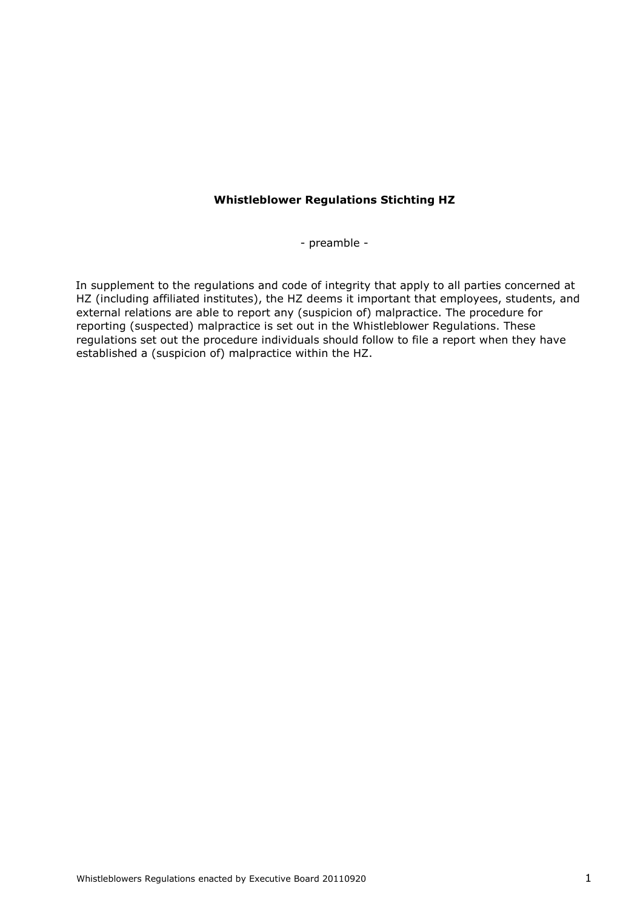## **Whistleblower Regulations Stichting HZ**

- preamble -

In supplement to the regulations and code of integrity that apply to all parties concerned at HZ (including affiliated institutes), the HZ deems it important that employees, students, and external relations are able to report any (suspicion of) malpractice. The procedure for reporting (suspected) malpractice is set out in the Whistleblower Regulations. These regulations set out the procedure individuals should follow to file a report when they have established a (suspicion of) malpractice within the HZ.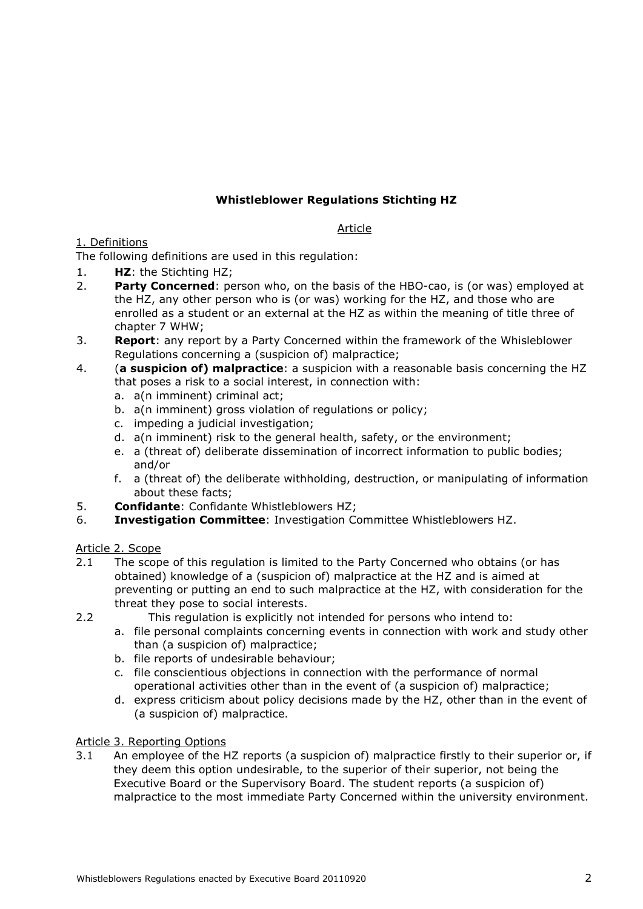# **Whistleblower Regulations Stichting HZ**

## Article

## 1. Definitions

The following definitions are used in this regulation:

- 1. **HZ**: the Stichting HZ;
- 2. **Party Concerned**: person who, on the basis of the HBO-cao, is (or was) employed at the HZ, any other person who is (or was) working for the HZ, and those who are enrolled as a student or an external at the HZ as within the meaning of title three of chapter 7 WHW;
- 3. **Report**: any report by a Party Concerned within the framework of the Whisleblower Regulations concerning a (suspicion of) malpractice;
- 4. (**a suspicion of) malpractice**: a suspicion with a reasonable basis concerning the HZ that poses a risk to a social interest, in connection with:
	- a. a(n imminent) criminal act;
	- b. a(n imminent) gross violation of regulations or policy;
	- c. impeding a judicial investigation;
	- d. a(n imminent) risk to the general health, safety, or the environment;
	- e. a (threat of) deliberate dissemination of incorrect information to public bodies; and/or
	- f. a (threat of) the deliberate withholding, destruction, or manipulating of information about these facts;
- 5. **Confidante**: Confidante Whistleblowers HZ;
- 6. **Investigation Committee**: Investigation Committee Whistleblowers HZ.

## Article 2. Scope

- 2.1 The scope of this regulation is limited to the Party Concerned who obtains (or has obtained) knowledge of a (suspicion of) malpractice at the HZ and is aimed at preventing or putting an end to such malpractice at the HZ, with consideration for the threat they pose to social interests.
- 
- 2.2 This regulation is explicitly not intended for persons who intend to:
	- a. file personal complaints concerning events in connection with work and study other than (a suspicion of) malpractice;
	- b. file reports of undesirable behaviour;
	- c. file conscientious objections in connection with the performance of normal operational activities other than in the event of (a suspicion of) malpractice;
	- d. express criticism about policy decisions made by the HZ, other than in the event of (a suspicion of) malpractice.

## Article 3. Reporting Options

3.1 An employee of the HZ reports (a suspicion of) malpractice firstly to their superior or, if they deem this option undesirable, to the superior of their superior, not being the Executive Board or the Supervisory Board. The student reports (a suspicion of) malpractice to the most immediate Party Concerned within the university environment.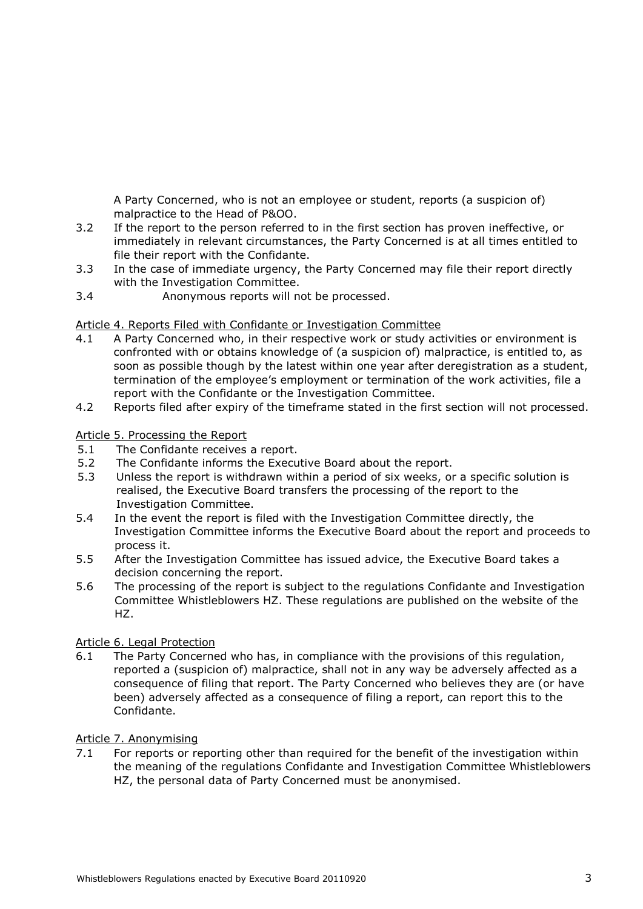A Party Concerned, who is not an employee or student, reports (a suspicion of) malpractice to the Head of P&OO.

- 3.2 If the report to the person referred to in the first section has proven ineffective, or immediately in relevant circumstances, the Party Concerned is at all times entitled to file their report with the Confidante.
- 3.3 In the case of immediate urgency, the Party Concerned may file their report directly with the Investigation Committee.
- 3.4 Anonymous reports will not be processed.

#### Article 4. Reports Filed with Confidante or Investigation Committee

- 4.1 A Party Concerned who, in their respective work or study activities or environment is confronted with or obtains knowledge of (a suspicion of) malpractice, is entitled to, as soon as possible though by the latest within one year after deregistration as a student, termination of the employee's employment or termination of the work activities, file a report with the Confidante or the Investigation Committee.
- 4.2 Reports filed after expiry of the timeframe stated in the first section will not processed.

#### Article 5. Processing the Report

- 5.1 The Confidante receives a report.
- 5.2 The Confidante informs the Executive Board about the report.
- 5.3 Unless the report is withdrawn within a period of six weeks, or a specific solution is realised, the Executive Board transfers the processing of the report to the Investigation Committee.
- 5.4 In the event the report is filed with the Investigation Committee directly, the Investigation Committee informs the Executive Board about the report and proceeds to process it.
- 5.5 After the Investigation Committee has issued advice, the Executive Board takes a decision concerning the report.
- 5.6 The processing of the report is subject to the regulations Confidante and Investigation Committee Whistleblowers HZ. These regulations are published on the website of the HZ.

## Article 6. Legal Protection

6.1 The Party Concerned who has, in compliance with the provisions of this regulation, reported a (suspicion of) malpractice, shall not in any way be adversely affected as a consequence of filing that report. The Party Concerned who believes they are (or have been) adversely affected as a consequence of filing a report, can report this to the Confidante.

#### Article 7. Anonymising

7.1 For reports or reporting other than required for the benefit of the investigation within the meaning of the regulations Confidante and Investigation Committee Whistleblowers HZ, the personal data of Party Concerned must be anonymised.